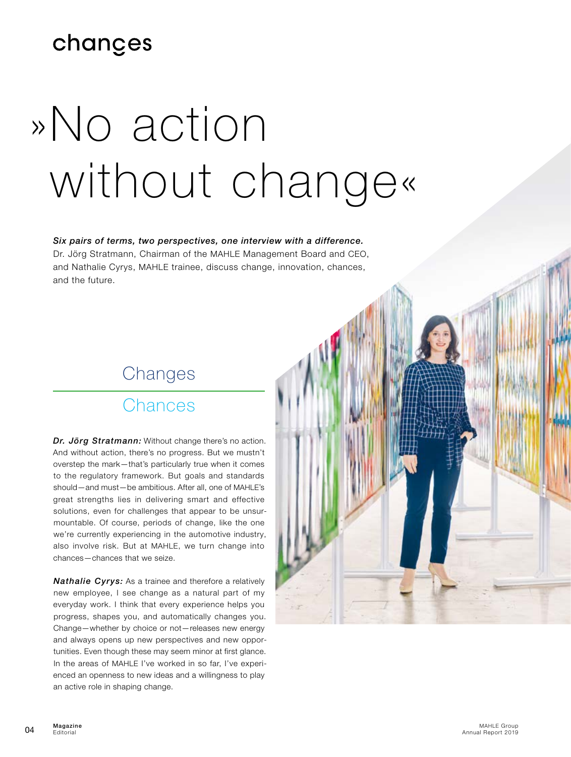# changes

# »No action without change«

#### *Six pairs of terms, two perspectives, one interview with a difference.*

Dr. Jörg Stratmann, Chairman of the MAHLE Management Board and CEO, and Nathalie Cyrys, MAHLE trainee, discuss change, innovation, chances, and the future.

# Changes

#### Chances

*Dr. Jörg Stratmann:* Without change there's no action. And without action, there's no progress. But we mustn't overstep the mark—that's particularly true when it comes to the regulatory framework. But goals and standards should—and must—be ambitious. After all, one of MAHLE's great strengths lies in delivering smart and effective solutions, even for challenges that appear to be unsurmountable. Of course, periods of change, like the one we're currently experiencing in the automotive industry, also involve risk. But at MAHLE, we turn change into chances—chances that we seize.

*Nathalie Cyrys:* As a trainee and therefore a relatively new employee, I see change as a natural part of my everyday work. I think that every experience helps you progress, shapes you, and automatically changes you. Change—whether by choice or not—releases new energy and always opens up new perspectives and new opportunities. Even though these may seem minor at first glance. In the areas of MAHLE I've worked in so far, I've experienced an openness to new ideas and a willingness to play an active role in shaping change.

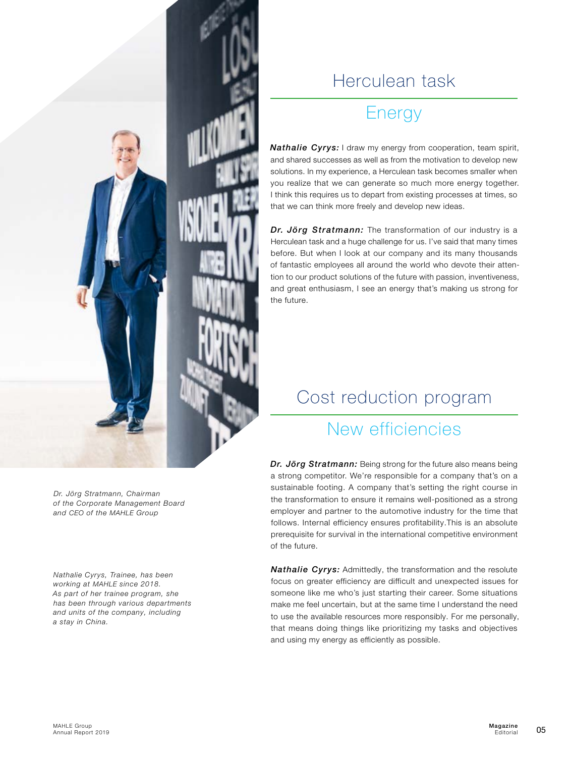

### Herculean task

# Energy

*Nathalie Cyrys:* I draw my energy from cooperation, team spirit, and shared successes as well as from the motivation to develop new solutions. In my experience, a Herculean task becomes smaller when you realize that we can generate so much more energy together. I think this requires us to depart from existing processes at times, so that we can think more freely and develop new ideas.

*Dr. Jörg Stratmann:* The transformation of our industry is a Herculean task and a huge challenge for us. I've said that many times before. But when I look at our company and its many thousands of fantastic employees all around the world who devote their attention to our product solutions of the future with passion, inventiveness, and great enthusiasm, I see an energy that's making us strong for the future.

# Cost reduction program

## New efficiencies

*Dr. Jörg Stratmann:* Being strong for the future also means being a strong competitor. We're responsible for a company that's on a sustainable footing. A company that's setting the right course in the transformation to ensure it remains well-positioned as a strong employer and partner to the automotive industry for the time that follows. Internal efficiency ensures profitability.This is an absolute prerequisite for survival in the international competitive environment of the future.

*Nathalie Cyrys:* Admittedly, the transformation and the resolute focus on greater efficiency are difficult and unexpected issues for someone like me who's just starting their career. Some situations make me feel uncertain, but at the same time I understand the need to use the available resources more responsibly. For me personally, that means doing things like prioritizing my tasks and objectives and using my energy as efficiently as possible.

*Dr. Jörg Stratmann, Chairman of the Corporate Management Board and CEO of the MAHLE Group*

*Nathalie Cyrys, Trainee, has been working at MAHLE since 2018. As part of her trainee program, she has been through various departments and units of the company, including a stay in China.*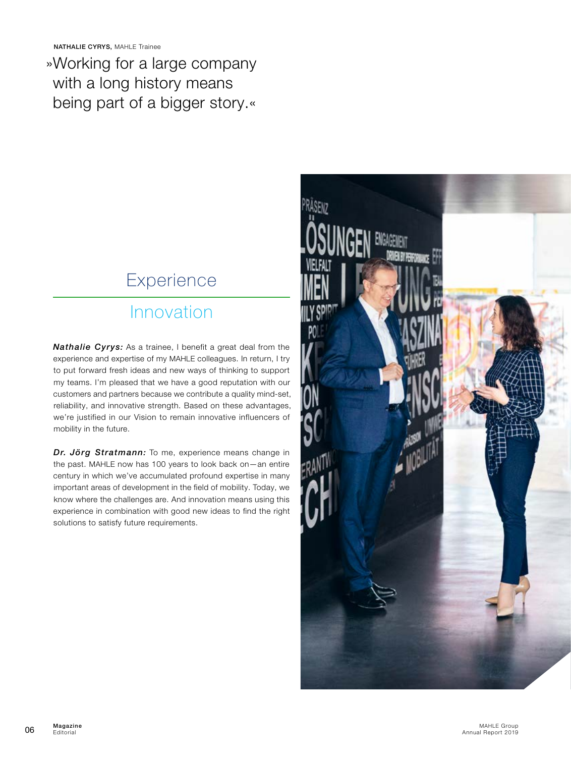NATHALIE CYRYS, MAHLE Trainee

»Working for a large company with a long history means being part of a bigger story.«

# Experience

#### Innovation

*Nathalie Cyrys:* As a trainee, I benefit a great deal from the experience and expertise of my MAHLE colleagues. In return, I try to put forward fresh ideas and new ways of thinking to support my teams. I'm pleased that we have a good reputation with our customers and partners because we contribute a quality mind-set, reliability, and innovative strength. Based on these advantages, we're justified in our Vision to remain innovative influencers of mobility in the future.

*Dr. Jörg Stratmann:* To me, experience means change in the past. MAHLE now has 100 years to look back on—an entire century in which we've accumulated profound expertise in many important areas of development in the field of mobility. Today, we know where the challenges are. And innovation means using this experience in combination with good new ideas to find the right solutions to satisfy future requirements.